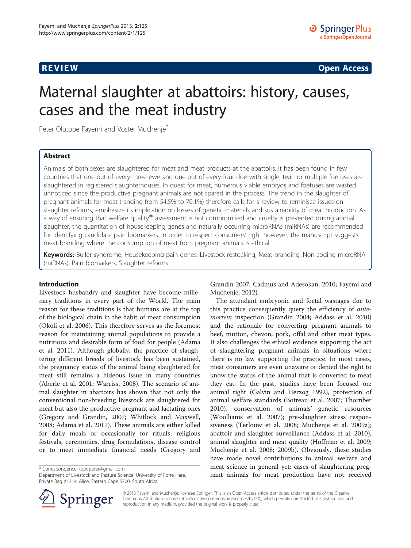**REVIEW REVIEW CONSTRUCTER ACCESS** 

# Maternal slaughter at abattoirs: history, causes, cases and the meat industry

Peter Olutope Fayemi and Voster Muchenje<sup>®</sup>

# Abstract

Animals of both sexes are slaughtered for meat and meat products at the abattoirs. It has been found in few countries that one-out-of-every-three ewe and one-out-of-every-four doe with single, twin or multiple foetuses are slaughtered in registered slaughterhouses. In quest for meat, numerous viable embryos and foetuses are wasted unnoticed since the productive pregnant animals are not spared in the process. The trend in the slaughter of pregnant animals for meat (ranging from 54.5% to 70.1%) therefore calls for a review to reminisce issues on slaughter reforms, emphasize its implication on losses of genetic materials and sustainability of meat production. As a way of ensuring that welfare quality $^{\circledR}$  assessment is not compromised and cruelty is prevented during animal slaughter, the quantitation of housekeeping genes and naturally occurring microRNAs (miRNAs) are recommended for identifying candidate pain biomarkers. In order to respect consumers' right however, the manuscript suggests meat branding where the consumption of meat from pregnant animals is ethical.

Keywords: Buller syndrome, Housekeeping pain genes, Livestock restocking, Meat branding, Non-coding microRNA (miRNAs), Pain biomarkers, Slaughter reforms

# Introduction

Livestock husbandry and slaughter have become millenary traditions in every part of the World. The main reason for these traditions is that humans are at the top of the biological chain in the habit of meat consumption (Okoli et al. [2006\)](#page-6-0). This therefore serves as the foremost reason for maintaining animal populations to provide a nutritious and desirable form of food for people (Adama et al. [2011](#page-5-0)). Although globally, the practice of slaughtering different breeds of livestock has been sustained, the pregnancy status of the animal being slaughtered for meat still remains a hideous issue in many countries (Aberle et al. [2001;](#page-5-0) Warriss, [2008](#page-6-0)). The scenario of animal slaughter in abattoirs has shown that not only the conventional non-breeding livestock are slaughtered for meat but also the productive pregnant and lactating ones (Gregory and Grandin, [2007](#page-5-0); Whitlock and Maxwell, [2008](#page-6-0); Adama et al. [2011](#page-5-0)). These animals are either killed for daily meals or occasionally for rituals, religious festivals, ceremonies, drug formulations, disease control or to meet immediate financial needs (Gregory and

\* Correspondence: [topepeter@gmail.com](mailto:topepeter@gmail.com)

Department of Livestock and Pasture Science, University of Forte Hare, Private Bag X1314, Alice, Eastern Cape 5700, South Africa



The attendant embryonic and foetal wastages due to this practice consequently query the efficiency of antemortem inspection (Grandin [2004;](#page-5-0) Addass et al. [2010](#page-5-0)) and the rationale for converting pregnant animals to beef, mutton, chevon, pork, offal and other meat types. It also challenges the ethical evidence supporting the act of slaughtering pregnant animals in situations where there is no law supporting the practice. In most cases, meat consumers are even unaware or denied the right to know the status of the animal that is converted to meat they eat. In the past, studies have been focused on: animal right (Galvin and Herzog [1992](#page-5-0)), protection of animal welfare standards (Botreau et al. [2007;](#page-5-0) Thornber [2010](#page-6-0)), conservation of animals' genetic resources (Woolliams et al. [2007\)](#page-6-0); pre-slaughter stress responsiveness (Terlouw et al. [2008](#page-6-0); Muchenje et al. [2009a](#page-5-0)); abattoir and slaughter surveillance (Addass et al. [2010](#page-5-0)), animal slaughter and meat quality (Hoffman et al. [2009](#page-5-0); Muchenje et al. [2008; 2009b](#page-5-0)). Obviously, these studies have made novel contributions to animal welfare and meat science in general yet; cases of slaughtering pregnant animals for meat production have not received



© 2013 Fayemi and Muchenje; licensee Springer. This is an Open Access article distributed under the terms of the Creative Commons Attribution License (<http://creativecommons.org/licenses/by/2.0>), which permits unrestricted use, distribution, and reproduction in any medium, provided the original work is properly cited.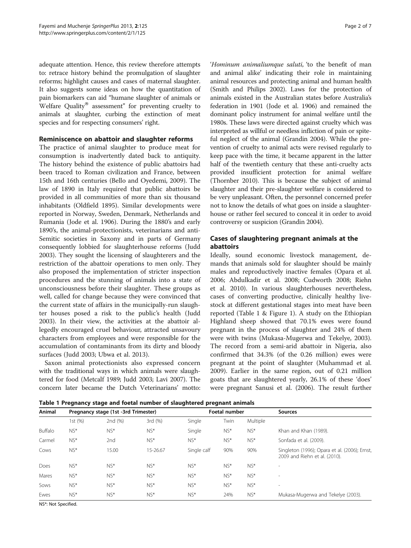adequate attention. Hence, this review therefore attempts to: retrace history behind the promulgation of slaughter reforms; highlight causes and cases of maternal slaughter. It also suggests some ideas on how the quantitation of pain biomarkers can aid "humane slaughter of animals or Welfare Quality $^{\circledR}$  assessment" for preventing cruelty to animals at slaughter, curbing the extinction of meat species and for respecting consumers' right.

# Reminiscence on abattoir and slaughter reforms

The practice of animal slaughter to produce meat for consumption is inadvertently dated back to antiquity. The history behind the existence of public abattoirs had been traced to Roman civilization and France, between 15th and 16th centuries (Bello and Oyedemi, [2009\)](#page-5-0). The law of 1890 in Italy required that public abattoirs be provided in all communities of more than six thousand inhabitants (Oldfield [1895\)](#page-6-0). Similar developments were reported in Norway, Sweden, Denmark, Netherlands and Rumania (Jode et al. [1906\)](#page-5-0). During the 1880's and early 1890's, the animal-protectionists, veterinarians and anti-Semitic societies in Saxony and in parts of Germany consequently lobbied for slaughterhouse reforms (Judd [2003](#page-5-0)). They sought the licensing of slaughterers and the restriction of the abattoir operations to men only. They also proposed the implementation of stricter inspection procedures and the stunning of animals into a state of unconsciousness before their slaughter. These groups as well, called for change because they were convinced that the current state of affairs in the municipally-run slaughter houses posed a risk to the public's health (Judd [2003](#page-5-0)). In their view, the activities at the abattoir allegedly encouraged cruel behaviour, attracted unsavoury characters from employees and were responsible for the accumulation of contaminants from its dirty and bloody surfaces (Judd [2003](#page-5-0); Ubwa et al. [2013](#page-6-0)).

Saxon animal protectionists also expressed concern with the traditional ways in which animals were slaughtered for food (Metcalf [1989;](#page-5-0) Judd [2003;](#page-5-0) Lavi [2007\)](#page-5-0). The concern later became the Dutch Veterinarians' motto:

'Hominum animaliumque saluti, 'to the benefit of man and animal alike' indicating their role in maintaining animal resources and protecting animal and human health (Smith and Philips [2002](#page-6-0)). Laws for the protection of animals existed in the Australian states before Australia's federation in 1901 (Jode et al. [1906\)](#page-5-0) and remained the dominant policy instrument for animal welfare until the 1980s. These laws were directed against cruelty which was interpreted as willful or needless infliction of pain or spiteful neglect of the animal (Grandin [2004\)](#page-5-0). While the prevention of cruelty to animal acts were revised regularly to keep pace with the time, it became apparent in the latter half of the twentieth century that these anti-cruelty acts provided insufficient protection for animal welfare (Thornber [2010](#page-6-0)). This is because the subject of animal slaughter and their pre-slaughter welfare is considered to be very unpleasant. Often, the personnel concerned prefer not to know the details of what goes on inside a slaughterhouse or rather feel secured to conceal it in order to avoid controversy or suspicion (Grandin [2004\)](#page-5-0).

# Cases of slaughtering pregnant animals at the abattoirs

Ideally, sound economic livestock management, demands that animals sold for slaughter should be mainly males and reproductively inactive females (Opara et al. [2006](#page-6-0); Abdulkadir et al. [2008](#page-5-0); Cudworth [2008;](#page-5-0) Riehn et al. [2010](#page-6-0)). In various slaughterhouses nevertheless, cases of converting productive, clinically healthy livestock at different gestational stages into meat have been reported (Table 1 & Figure [1\)](#page-2-0). A study on the Ethiopian Highland sheep showed that 70.1% ewes were found pregnant in the process of slaughter and 24% of them were with twins (Mukasa-Mugerwa and Tekelye, [2003](#page-5-0)). The record from a semi-arid abattoir in Nigeria, also confirmed that 34.3% (of the 0.26 million) ewes were pregnant at the point of slaughter (Muhammad et al. [2009](#page-5-0)). Earlier in the same region, out of 0.21 million goats that are slaughtered yearly, 26.1% of these 'does' were pregnant Sanusi et al. [\(2006\)](#page-6-0). The result further

Table 1 Pregnancy stage and foetal number of slaughtered pregnant animals

| Animal  | Pregnancy stage (1st -3rd Trimester) |                 |          | Foetal number |       |          | <b>Sources</b>                                                                 |
|---------|--------------------------------------|-----------------|----------|---------------|-------|----------|--------------------------------------------------------------------------------|
|         | 1st $(\%)$                           | 2nd (%)         | 3rd(%)   | Single        | Twin  | Multiple |                                                                                |
| Buffalo | $NS*$                                | $NS*$           | $NS*$    | Single        | $NS*$ | $NS*$    | Khan and Khan (1989).                                                          |
| Carmel  | $NS*$                                | 2 <sub>nd</sub> | $NS*$    | $NS*$         | $NS*$ | $NS*$    | Sonfada et al. (2009).                                                         |
| Cows    | $NS*$                                | 15.00           | 15-26.67 | Single calf   | 90%   | 90%      | Singleton (1996); Opara et al. (2006); Ernst,<br>2009 and Riehn et al. (2010). |
| Does    | $NS*$                                | $NS*$           | $NS*$    | $NS*$         | $NS*$ | $NS*$    | $\sim$                                                                         |
| Mares   | $NS*$                                | $NS*$           | $NS*$    | $NS*$         | $NS*$ | $NS*$    | $\sim$                                                                         |
| Sows    | $NS*$                                | $NS*$           | $NS*$    | $NS*$         | $NS*$ | $NS*$    | $\sim$                                                                         |
| Ewes    | $NS*$                                | $NS*$           | $NS*$    | $NS*$         | 24%   | $NS*$    | Mukasa-Mugerwa and Tekelye (2003).                                             |

NS\*: Not Specified.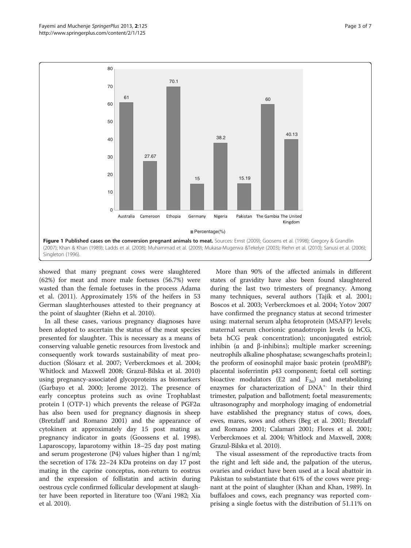<span id="page-2-0"></span>

showed that many pregnant cows were slaughtered (62%) for meat and more male foetuses (56.7%) were wasted than the female foetuses in the process Adama et al. ([2011](#page-5-0)). Approximately 15% of the heifers in 53 German slaughterhouses attested to their pregnancy at the point of slaughter (Riehn et al. [2010](#page-6-0)).

In all these cases, various pregnancy diagnoses have been adopted to ascertain the status of the meat species presented for slaughter. This is necessary as a means of conserving valuable genetic resources from livestock and consequently work towards sustainability of meat production (Ślósarz et al. [2007;](#page-6-0) Verberckmoes et al. [2004](#page-6-0); Whitlock and Maxwell [2008;](#page-6-0) Grazul-Bilska et al. [2010](#page-5-0)) using pregnancy-associated glycoproteins as biomarkers (Garbayo et al. [2000](#page-5-0); Jerome [2012\)](#page-5-0). The presence of early conceptus proteins such as ovine Trophablast protein I (OTP-1) which prevents the release of  $PGF2α$ has also been used for pregnancy diagnosis in sheep (Bretzlaff and Romano [2001](#page-5-0)) and the appearance of cytokinen at approximately day 15 post mating as pregnancy indicator in goats (Goossens et al. [1998](#page-5-0)). Laparoscopy, laparotomy within 18–25 day post mating and serum progesterone (P4) values higher than 1 ng/ml; the secretion of 17& 22–24 KDa proteins on day 17 post mating in the caprine conceptus, non-return to eostrus and the expression of follistatin and activin during oestrous cycle confirmed follicular development at slaughter have been reported in literature too (Wani [1982](#page-6-0); Xia et al. [2010](#page-6-0)).

More than 90% of the affected animals in different states of gravidity have also been found slaughtered during the last two trimesters of pregnancy. Among many techniques, several authors (Tajik et al. [2001](#page-6-0); Boscos et al. [2003;](#page-5-0) Verberckmoes et al. [2004;](#page-6-0) Yotov [2007](#page-6-0) have confirmed the pregnancy status at second trimester using: maternal serum alpha fetoprotein (MSAFP) levels; maternal serum chorionic gonadotropin levels (α hCG, beta hCG peak concentration); unconjugated estriol; inhibin ( $\alpha$  and β-inhibins); multiple marker screening; neutrophils alkaline phosphatase; scwangeschafts protein1; the proform of eosinophil major basic protein (proMBP); placental isoferrintin p43 component; foetal cell sorting; bioactive modulators (E2 and  $F_{2\alpha}$ ) and metabolizing enzymes for characterization of DNA<sup>+.</sup> In their third trimester, palpation and ballotment; foetal measurements; ultrasonography and morphology imaging of endometrial have established the pregnancy status of cows, does, ewes, mares, sows and others (Beg et al. [2001;](#page-5-0) Bretzlaff and Romano [2001;](#page-5-0) Calamari [2001](#page-5-0); Flores et al. [2001](#page-5-0); Verberckmoes et al. [2004](#page-6-0); Whitlock and Maxwell, [2008](#page-6-0); Grazul-Bilska et al. [2010](#page-5-0)).

The visual assessment of the reproductive tracts from the right and left side and, the palpation of the uterus, ovaries and oviduct have been used at a local abattoir in Pakistan to substantiate that 61% of the cows were pregnant at the point of slaughter (Khan and Khan, [1989](#page-5-0)). In buffaloes and cows, each pregnancy was reported comprising a single foetus with the distribution of 51.11% on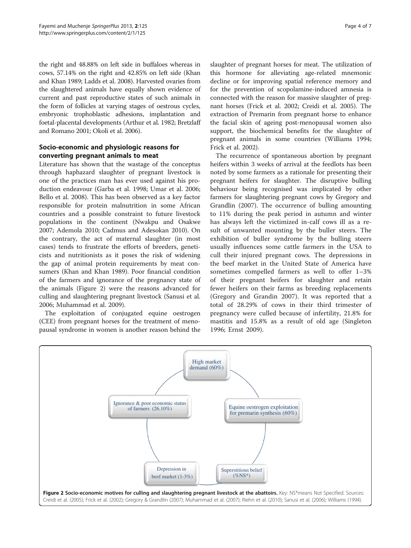the right and 48.88% on left side in buffaloes whereas in cows, 57.14% on the right and 42.85% on left side (Khan and Khan [1989](#page-5-0); Ladds et al. [2008](#page-5-0)). Harvested ovaries from the slaughtered animals have equally shown evidence of current and past reproductive states of such animals in the form of follicles at varying stages of oestrous cycles, embryonic trophoblastic adhesions, implantation and foetal-placental developments (Arthur et al. [1982;](#page-5-0) Bretzlaff and Romano [2001;](#page-5-0) Okoli et al. [2006](#page-6-0)).

# Socio-economic and physiologic reasons for converting pregnant animals to meat

Literature has shown that the wastage of the conceptus through haphazard slaughter of pregnant livestock is one of the practices man has ever used against his production endeavour (Garba et al. [1998](#page-5-0); Umar et al. 2006; Bello et al. [2008\)](#page-5-0). This has been observed as a key factor responsible for protein malnutrition in some African countries and a possible constraint to future livestock populations in the continent (Nwakpu and Osakwe [2007](#page-5-0); Ademola [2010;](#page-5-0) Cadmus and Adesokan [2010](#page-5-0)). On the contrary, the act of maternal slaughter (in most cases) tends to frustrate the efforts of breeders, geneticists and nutritionists as it poses the risk of widening the gap of animal protein requirements by meat consumers (Khan and Khan [1989](#page-5-0)). Poor financial condition of the farmers and ignorance of the pregnancy state of the animals (Figure 2) were the reasons advanced for culling and slaughtering pregnant livestock (Sanusi et al. [2006](#page-6-0); Muhammad et al. [2009\)](#page-5-0).

The exploitation of conjugated equine oestrogen (CEE) from pregnant horses for the treatment of menopausal syndrome in women is another reason behind the slaughter of pregnant horses for meat. The utilization of this hormone for alleviating age-related mnemonic decline or for improving spatial reference memory and for the prevention of scopolamine-induced amnesia is connected with the reason for massive slaughter of pregnant horses (Frick et al. [2002](#page-5-0); Creidi et al. [2005\)](#page-5-0). The extraction of Premarin from pregnant horse to enhance the facial skin of ageing post-menopausal women also support, the biochemical benefits for the slaughter of pregnant animals in some countries (Williams [1994](#page-6-0); Frick et al. [2002](#page-5-0)).

The recurrence of spontaneous abortion by pregnant heifers within 3 weeks of arrival at the feedlots has been noted by some farmers as a rationale for presenting their pregnant heifers for slaughter. The disruptive bulling behaviour being recognised was implicated by other farmers for slaughtering pregnant cows by Gregory and Grandlin ([2007\)](#page-5-0). The occurrence of bulling amounting to 11% during the peak period in autumn and winter has always left the victimized in-calf cows ill as a result of unwanted mounting by the buller steers. The exhibition of buller syndrome by the bulling steers usually influences some cattle farmers in the USA to cull their injured pregnant cows. The depressions in the beef market in the United State of America have sometimes compelled farmers as well to offer 1–3% of their pregnant heifers for slaughter and retain fewer heifers on their farms as breeding replacements (Gregory and Grandin [2007\)](#page-5-0). It was reported that a total of 28.29% of cows in their third trimester of pregnancy were culled because of infertility, 21.8% for mastitis and 15.8% as a result of old age (Singleton [1996;](#page-6-0) Ernst [2009\)](#page-5-0).

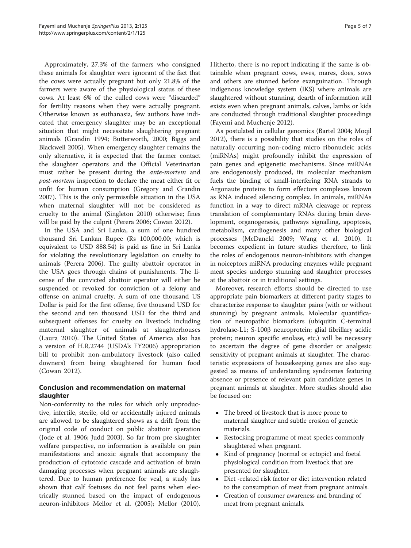Approximately, 27.3% of the farmers who consigned these animals for slaughter were ignorant of the fact that the cows were actually pregnant but only 21.8% of the farmers were aware of the physiological status of these cows. At least 6% of the culled cows were "discarded" for fertility reasons when they were actually pregnant. Otherwise known as euthanasia, few authors have indicated that emergency slaughter may be an exceptional situation that might necessitate slaughtering pregnant animals (Grandin [1994;](#page-5-0) Butterworth, [2000;](#page-5-0) Biggs and Blackwell [2005\)](#page-5-0). When emergency slaughter remains the only alternative, it is expected that the farmer contact the slaughter operators and the Official Veterinarian must rather be present during the ante-mortem and post-mortem inspection to declare the meat either fit or unfit for human consumption (Gregory and Grandin [2007](#page-5-0)). This is the only permissible situation in the USA when maternal slaughter will not be considered as cruelty to the animal (Singleton [2010\)](#page-6-0) otherwise; fines will be paid by the culprit (Perera [2006;](#page-6-0) Cowan [2012](#page-5-0)).

In the USA and Sri Lanka, a sum of one hundred thousand Sri Lankan Rupee (Rs 100,000.00; which is equivalent to USD 888.54) is paid as fine in Sri Lanka for violating the revolutionary legislation on cruelty to animals (Perera [2006\)](#page-6-0). The guilty abattoir operator in the USA goes through chains of punishments. The license of the convicted abattoir operator will either be suspended or revoked for conviction of a felony and offense on animal cruelty. A sum of one thousand US Dollar is paid for the first offense, five thousand USD for the second and ten thousand USD for the third and subsequent offenses for cruelty on livestock including maternal slaughter of animals at slaughterhouses (Laura [2010\)](#page-5-0). The United States of America also has a version of H.R.2744 (USDA's FY2006) appropriation bill to prohibit non-ambulatory livestock (also called downers) from being slaughtered for human food (Cowan [2012\)](#page-5-0).

# Conclusion and recommendation on maternal slaughter

Non-conformity to the rules for which only unproductive, infertile, sterile, old or accidentally injured animals are allowed to be slaughtered shows as a drift from the original code of conduct on public abattoir operation (Jode et al. [1906](#page-5-0); Judd [2003\)](#page-5-0). So far from pre-slaughter welfare perspective, no information is available on pain manifestations and anoxic signals that accompany the production of cytotoxic cascade and activation of brain damaging processes when pregnant animals are slaughtered. Due to human preference for veal, a study has shown that calf foetuses do not feel pains when electrically stunned based on the impact of endogenous neuron-inhibitors Mellor et al. ([2005](#page-5-0)); Mellor ([2010](#page-5-0)). Hitherto, there is no report indicating if the same is obtainable when pregnant cows, ewes, mares, does, sows and others are stunned before exanguination. Through indigenous knowledge system (IKS) where animals are slaughtered without stunning, dearth of information still exists even when pregnant animals, calves, lambs or kids are conducted through traditional slaughter proceedings (Fayemi and Muchenje [2012\)](#page-5-0).

As postulated in cellular genomics (Bartel [2004;](#page-5-0) Moqil [2012](#page-5-0)), there is a possibility that studies on the roles of naturally occurring non-coding micro ribonucleic acids (miRNAs) might profoundly inhibit the expression of pain genes and epigenetic mechanisms. Since miRNAs are endogenously produced, its molecular mechanism fuels the binding of small-interfering RNA strands to Argonaute proteins to form effectors complexes known as RNA induced silencing complex. In animals, miRNAs function in a way to direct mRNA cleavage or repress translation of complementary RNAs during brain development, organogenesis, pathways signalling, apoptosis, metabolism, cardiogenesis and many other biological processes (McDaneld [2009;](#page-5-0) Wang et al. [2010\)](#page-6-0). It becomes expedient in future studies therefore, to link the roles of endogenous neuron-inhibitors with changes in noiceptors miRNA producing enzymes while pregnant meat species undergo stunning and slaughter processes at the abattoir or in traditional settings.

Moreover, research efforts should be directed to use appropriate pain biomarkers at different parity stages to characterize response to slaughter pains (with or without stunning) by pregnant animals. Molecular quantification of neuropathic biomarkers (ubiquitin C-terminal hydrolase-L1; S-100β neuroprotein; glial fibrillary acidic protein; neuron specific enolase, etc.) will be necessary to ascertain the degree of gene disorder or analgesic sensitivity of pregnant animals at slaughter. The characteristic expressions of housekeeping genes are also suggested as means of understanding syndromes featuring absence or presence of relevant pain candidate genes in pregnant animals at slaughter. More studies should also be focused on:

- The breed of livestock that is more prone to maternal slaughter and subtle erosion of genetic materials.
- Restocking programme of meat species commonly slaughtered when pregnant.
- Kind of pregnancy (normal or ectopic) and foetal physiological condition from livestock that are presented for slaughter.
- Diet -related risk factor or diet intervention related to the consumption of meat from pregnant animals.
- Creation of consumer awareness and branding of meat from pregnant animals.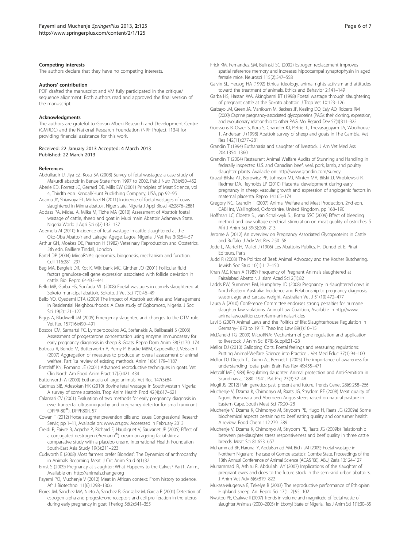#### <span id="page-5-0"></span>Competing interests

The authors declare that they have no competing interests.

#### Authors' contribution

POF drafted the manuscript and VM fully participated in the critique/ sequence alignment. Both authors read and approved the final version of the manuscript.

### **Acknowledaments**

The authors are grateful to Govan Mbeki Research and Development Centre (GMRDC) and the National Research Foundation (NRF Project T134) for providing financial assistance for this work.

#### Received: 22 January 2013 Accepted: 4 March 2013 Published: 22 March 2013

#### References

- Abdulkadir U, Jiya EZ, Kosu SA (2008) Survey of fetal wastages: a case study of Makurdi abattoir in Benue State from 1997 to 2002. Pak J Nutr 7(3):450–452
- Aberle ED, Forrest JC, Gerrard DE, Mills EW (2001) Principles of Meat Science, vol 4, Thirdth edn. Kendall/Hunt Publishing Company, USA, pp 92–95
- Adama JY, Shiawoya EL, Michael N (2011) Incidence of foetal wastages of cows slaughtered in Minna abattoir, Niger state. Nigeria J Appl Biosci 42:2876–2881
- Addass PA, Midau A, Milka M, Tizhe MA (2010) Assessment of Abattoir foetal wastage of cattle, sheep and goat in Mubi main Abattoir Adamawa State. Nigeria World J Agri Sci 6(2):132–137
- Ademola AI (2010) Incidence of fetal wastage in cattle slaughtered at the Oko-Oba Abattoir and Lairage, Agege, Lagos, Nigeria. J Vet Res 3(3):54–57
- Arthur GH, Moakes DE, Pearson H (1982) Veterinary Reproduction and Obstetrics, 5th edn. Bailliere Tindall, London
- Bartel DP (2004) MircoRNAs: genomics, biogenesis, mechanism and function. Cell 116:281–297
- Beg MA, Bergfelt DR, Kot K, Wilt bank MC, Ginther JO (2001) Follicular fluid factors granulose-cell gene expression associated with follicle deviation in cattle. Biol Repro 64:432–441
- Bello MB, Garba HS, Sonfada ML (2008) Foetal wastages in camels slaughtered at Sokoto municipal abattoir, Sokoto. J Vet Sci 7(1):46–49
- Bello YO, Oyedemi DTA (2009) The Impact of Abattoir activities and Management in Residential Neighbourhoods: A Case study of Ogbomoso, Nigeria. J Soc Sci 19(2):121–127
- Biggs A, Blackwell JM (2005) Emergency slaughter, and changes to the OTM rule. Vet Rec 157(16):490–491
- Boscos CM, Samartzi FC, Lymberopoulos AG, Stefanakis A, Belibasaki S (2003) Assessment of progesterone concentration using enzyme immunoassay for early pregnancy diagnosis in sheep & Goats. Repro Dom Anim 38(3):170–174
- Botreau R, Bonde M, Butterworth A, Perny P, Bracke MBM, Capdeville J, Veissier I (2007) Aggregation of measures to produce an overall assessment of animal welfare. Part 1:a review of existing methods. Anim 1(8):1179–1187
- Bretzlaff KN, Romano JE (2001) Advanced reproductive techniques in goats. Vet Clin North Am Food Anim Pract 17(2):421–434
- Butterworth A (2000) Euthanasia of large animals. Vet Rec 147(3):84
- Cadmus SIB, Adesokan HK (2010) Bovine fetal wastage in Southwestern Nigeria: A survey of some abattoirs. Trop Anim Health Prod 42(4):617–621
- Calamari CV (2001) Evaluation of two methods for early pregnancy diagnosis in ewe: transectal ultrasonography and pregnancy detector for small ruminant (DPPR-80<sup>®</sup>). DPPR80R, 57
- Cowan T (2012) Horse slaughter prevention bills and issues. Congressional Research Servic, pp 1–11, Available on: [www.crs.gov.](http://www.crs.gov) Acceessed in February 2013
- Creidi P, Faivre B, Agache P, Richard E, Haudiquet V, Sauvanet JP (2005) Effect of a conjugated oestrogen (Premarin®) cream on ageing facial skin: a comparative study with a placebo cream. International Health Foundation South-East Asia Study 19(3):211–223
- Cudworth E (2008) Most farmers prefer Blondes': The Dynamics of anthroparchy in Animals Becoming Meat. J Crit Anim Stud 6(1):32
- Ernst S (2009) Pregnancy at slaughter: What Happens to the Calves? Part1. Anim., Available on:<http://animals.change.org>
- Fayemi PO, Muchenje V (2012) Meat in African context: From history to science. Afr J Biotechnol 11(6):1298–1306
- Flores JM, Sanchez MA, Nieto A, Sanchez B, Gonzalez M, Garcia P (2001) Detection of estrogen alpha and progesterone receptors and cell proliferation in the uterus during early pregnancy in goat. Theriog 56(2):341–355
- Frick KM, Fernandez SM, Bulinski SC (2002) Estrogen replacement improves spatial reference memory and increases hippocampal synaptophysin in aged female mice. Neurosci 115(2):547–558
- Galvin SL, Herzog HA (1992) Ethical ideology, animal rights activism and attitudes toward the treatment of animals. Ethics and Behavior 2:141–149
- Garba HS, Hassan WA, Akingbemi BT (1998) Foetal wastage through slaughtering of pregnant cattle at the Sokoto abattoir. J Trop Vet 10:123–126
- Garbayo JM, Green JA, Manikkam M, Beckers JF, Kiesling DO, Ealy AD, Roberts RM (2000) Caprine pregnancy-associated glycoproteins (PAG): their cloning, expression, and evolutionary relationship to other PAG. Mol Reprod Dev 57(4):311–322
- Goossens B, Osaer S, Kora S, Chandler KJ, Petriel L, Thevasagayam JA, Woolhouse T, Andersan J (1998) Abattoir survey of sheep and goats in The Gambia. Vet Res 142(11):277–281
- Grandin T (1994) Euthanasia and slaughter of livestock. J Am Vet Med Ass 204:1354–1360
- Grandin T (2004) Restaurant Animal Welfare Audits of Stunning and Handling in federally inspected U.S. and Canadian beef, veal, pork, lamb, and poultry slaughter plants. Available on: http//[www.grandin.com/survey](http://www.grandin.com/survey)
- Grazul-Bilska AT, Borowicz PP, Johnson MJ, Minten MA, Bilski JJ, Wroblewski R, Redmer DA, Reynolds LP (2010) Placental development during early pregnancy in sheep: vascular growth and expression of angiogenic factors in maternal placenta. Repro 14:165–174
- Gregory NG, Grandin T (2007) Animal Welfare and Meat Production, 2nd edn. CABI Int, Wallingford, Oxfordshire, United Kingdom, pp 168–190
- Hoffman LC, Cloette SJ, van Schalkwyk SJ, Botha SSC (2009) Effect of bleeding method and low voltage electrical stimulation on meat quality of ostriches. S Afri J Anim Sci 39(3):206–213
- Jerome A (2012) An overview on Pregnancy Associated Glycoproteins in Cattle and Buffalo. J Adv Vet Res 2:50–58
- Jode L, Martel H, Mallet J (1906) Les Abattoirs Publics. H. Dunod et E. Pinat Editeurs, Paris
- Judd R (2003) The Politics of Beef: Animal Advocacy and the Kosher Butchering. Jewish Soc Stud 10(1):117–150
- Khan MZ, Khan A (1989) Frequency of Pregnant Animals slaughtered at Faisalabad Abattoir. J Islam Acad Sci 2(1):82
- Ladds PW, Summers PM, Humphrey JD (2008) Pregnancy in slaughtered cows in North-Eastern Australia: Incidence and Relationship to pregnancy diagnosis, season, age and carcass weight. Australian Vet J 51(10):472–477
- Laura A (2010) Conference Committee endorses strong penalties for humane slaughter law violations. Animal Law Coalition, Available in http/[/www.](http://www.animallawcoalition.com/farm-animalsarticles) [animallawcoalition.com/farm-animalsarticles](http://www.animallawcoalition.com/farm-animalsarticles)
- Lavi S (2007) Animal Laws and the Politics of life: Slaughterhouse Regulation in Germany-1870 to 1917. Theo Inq Law 89(1):10–15
- McDaneld TG (2009) MicroRNA: Mechanism of gene regulation and application to livestock. J Anim Sci 87(E-Suppl):21–28
- Mellor DJ (2010) Galloping Colts. Foetal feelings and reassuring regulations: Putting Animal-Welfare Science into Practice J Vet Med Educ 37(1):94–100
- Mellor DJ, Diesch TJ, Gunn AJ, Bennet L (2005) The importance of awareness for understanding foetal pain. Brain Res Rev 49:455–471
- Metcalf MF (1989) Regulating slaughter: Animal protection and Anti-Semitism in Scandinavia, 1880–1941. Pat Prej 23(3):32–48
- Mogil JS (2012) Pain genetics: past, present and future. Trends Genet 28(6):258–266

Muchenje V, Dzama K, Chimonyo M, Raats JG, Strydom PE (2008) Meat quality of Nguni, Bonsmara and Aberdeen Angus steers raised on natural pasture in Eastern Cape. South Meat Sci 79:20–28

- Muchenje V, Dzama K, Chimonyo M, Strydom PE, Hugo H, Raats JG (2009a) Some biochemical aspects pertaining to beef eating quality and consumer health: A review. Food Chem 112:279–289
- Muchenje V, Dzama K, Chimonyo M, Strydom PE, Raats JG (2009b) Relationship between pre-slaughter stress responsiveness and beef quality in three cattle breeds. Meat Sci 81:653–657

Muhammad BF, Haruna IY, Abdulsamad AM, Bichi JM (2009) Foetal wastage in Northern Nigerian: The case of Gombe abattoir, Gombe State. Proceedings of the 13th Annual Conference of Animal Science (ACAS '08). ABU, Zaria 13:124–127

- Muhammad IR, Ashiru R, Abdullahi AY (2007) Implications of the slaughter of pregnant ewes and does to the future stock in the semi-arid urban abattoirs. J Anim Vet Adv 6(6):819–822
- Mukasa-Mugerwa E, Tekelye B (2003) The reproductive performance of Ethiopian Highland sheep. Ani Repro Sci 17(1–2):95–102
- Nwakpu PE, Osakwe II (2007) Trends in volume and magnitude of foetal waste of slaughter Animals (2000–2005) in Ebonyi State of Nigeria. Res J Anim Sci 1(1):30–35